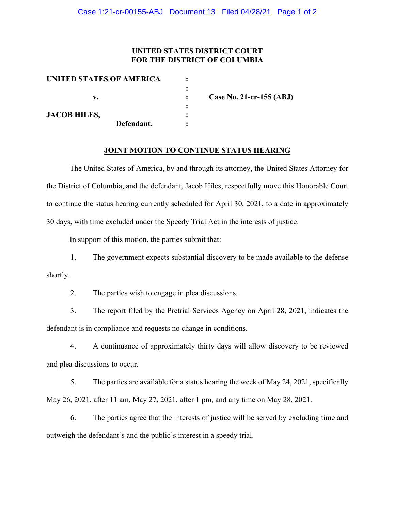#### **UNITED STATES DISTRICT COURT FOR THE DISTRICT OF COLUMBIA**

| UNITED STATES OF AMERICA |                          |
|--------------------------|--------------------------|
|                          |                          |
| v.                       | Case No. 21-cr-155 (ABJ) |
|                          |                          |
| <b>JACOB HILES,</b>      |                          |
| Defendant.               |                          |

#### **JOINT MOTION TO CONTINUE STATUS HEARING**

The United States of America, by and through its attorney, the United States Attorney for the District of Columbia, and the defendant, Jacob Hiles, respectfully move this Honorable Court to continue the status hearing currently scheduled for April 30, 2021, to a date in approximately 30 days, with time excluded under the Speedy Trial Act in the interests of justice.

In support of this motion, the parties submit that:

1. The government expects substantial discovery to be made available to the defense shortly.

2. The parties wish to engage in plea discussions.

3. The report filed by the Pretrial Services Agency on April 28, 2021, indicates the defendant is in compliance and requests no change in conditions.

4. A continuance of approximately thirty days will allow discovery to be reviewed and plea discussions to occur.

5. The parties are available for a status hearing the week of May 24, 2021, specifically May 26, 2021, after 11 am, May 27, 2021, after 1 pm, and any time on May 28, 2021.

6. The parties agree that the interests of justice will be served by excluding time and outweigh the defendant's and the public's interest in a speedy trial.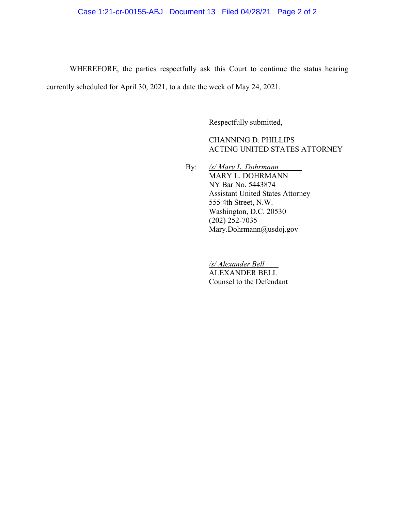# Case 1:21-cr-00155-ABJ Document 13 Filed 04/28/21 Page 2 of 2

WHEREFORE, the parties respectfully ask this Court to continue the status hearing currently scheduled for April 30, 2021, to a date the week of May 24, 2021.

Respectfully submitted,

CHANNING D. PHILLIPS ACTING UNITED STATES ATTORNEY

By: */s/ Mary L. Dohrmann* MARY L. DOHRMANN NY Bar No. 5443874 Assistant United States Attorney 555 4th Street, N.W. Washington, D.C. 20530 (202) 252-7035 Mary.Dohrmann@usdoj.gov

> */s/ Alexander Bell* ALEXANDER BELL Counsel to the Defendant